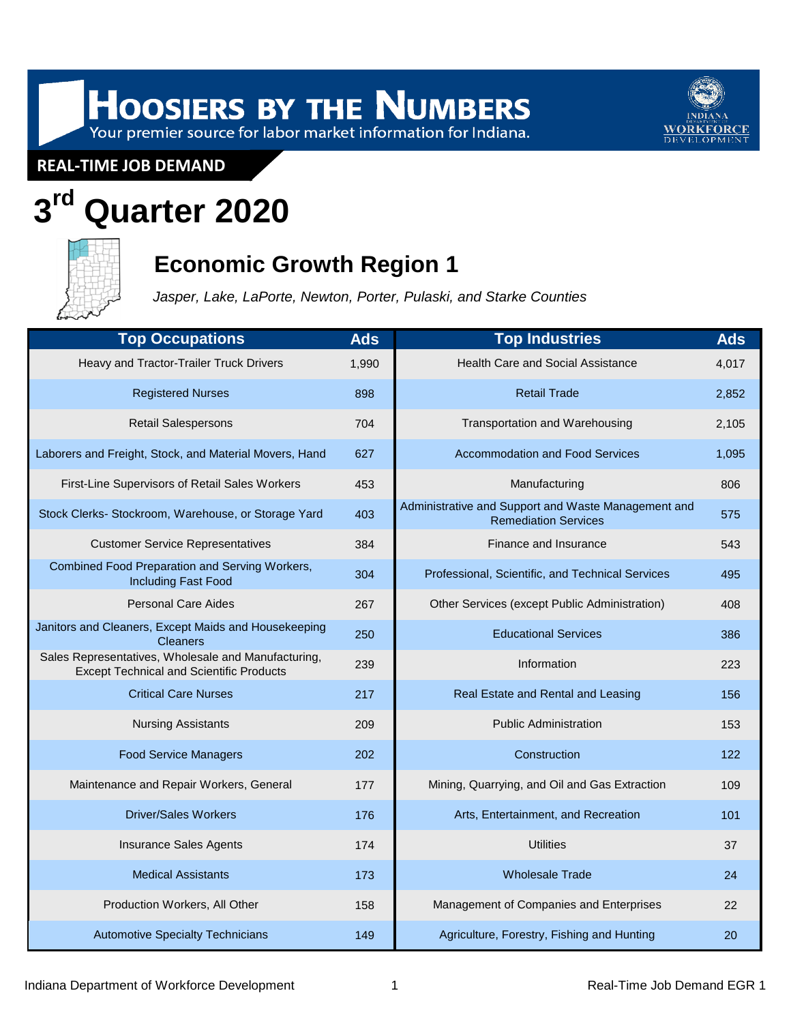# HOOSIERS BY THE NUMBERS<br>Your premier source for labor market information for Indiana.



**REAL-TIME JOB DEMAND**

# **3 rd Quarter 2020**



## **Economic Growth Region 1**

*Jasper, Lake, LaPorte, Newton, Porter, Pulaski, and Starke Counties*

| <b>Top Occupations</b>                                                                                 | <b>Ads</b> | <b>Top Industries</b>                                                              | <b>Ads</b> |
|--------------------------------------------------------------------------------------------------------|------------|------------------------------------------------------------------------------------|------------|
| Heavy and Tractor-Trailer Truck Drivers                                                                | 1,990      | <b>Health Care and Social Assistance</b>                                           | 4,017      |
| <b>Registered Nurses</b>                                                                               | 898        | <b>Retail Trade</b>                                                                | 2,852      |
| <b>Retail Salespersons</b>                                                                             | 704        | Transportation and Warehousing                                                     | 2,105      |
| Laborers and Freight, Stock, and Material Movers, Hand                                                 | 627        | <b>Accommodation and Food Services</b>                                             | 1,095      |
| First-Line Supervisors of Retail Sales Workers                                                         | 453        | Manufacturing                                                                      | 806        |
| Stock Clerks- Stockroom, Warehouse, or Storage Yard                                                    | 403        | Administrative and Support and Waste Management and<br><b>Remediation Services</b> | 575        |
| <b>Customer Service Representatives</b>                                                                | 384        | Finance and Insurance                                                              | 543        |
| Combined Food Preparation and Serving Workers,<br><b>Including Fast Food</b>                           | 304        | Professional, Scientific, and Technical Services                                   | 495        |
| <b>Personal Care Aides</b>                                                                             | 267        | Other Services (except Public Administration)                                      | 408        |
| Janitors and Cleaners, Except Maids and Housekeeping<br><b>Cleaners</b>                                | 250        | <b>Educational Services</b>                                                        | 386        |
| Sales Representatives, Wholesale and Manufacturing,<br><b>Except Technical and Scientific Products</b> | 239        | Information                                                                        | 223        |
| <b>Critical Care Nurses</b>                                                                            | 217        | Real Estate and Rental and Leasing                                                 | 156        |
| <b>Nursing Assistants</b>                                                                              | 209        | <b>Public Administration</b>                                                       | 153        |
| <b>Food Service Managers</b>                                                                           | 202        | Construction                                                                       | 122        |
| Maintenance and Repair Workers, General                                                                | 177        | Mining, Quarrying, and Oil and Gas Extraction                                      | 109        |
| <b>Driver/Sales Workers</b>                                                                            | 176        | Arts, Entertainment, and Recreation                                                | 101        |
| <b>Insurance Sales Agents</b>                                                                          | 174        | <b>Utilities</b>                                                                   | 37         |
| <b>Medical Assistants</b>                                                                              | 173        | <b>Wholesale Trade</b>                                                             | 24         |
| Production Workers, All Other                                                                          | 158        | Management of Companies and Enterprises                                            | 22         |
| <b>Automotive Specialty Technicians</b>                                                                | 149        | Agriculture, Forestry, Fishing and Hunting                                         | 20         |